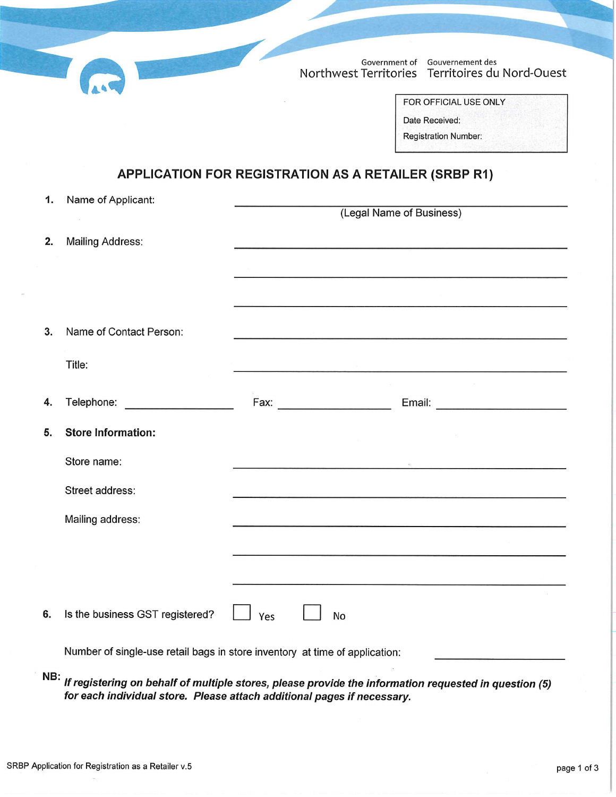Government of Gouvernement des Northwest Territories Territoires du Nord-Ouest

| FOR OFFICIAL USE ONLY       |  |
|-----------------------------|--|
| Date Received:              |  |
| <b>Registration Number:</b> |  |

## APPLICATION FOR REGISTRATION AS A RETAILER (SRBP R1)

|    | 1. Name of Applicant:                                                                                                                                                                                                          |     |                                                                                                                       |
|----|--------------------------------------------------------------------------------------------------------------------------------------------------------------------------------------------------------------------------------|-----|-----------------------------------------------------------------------------------------------------------------------|
|    |                                                                                                                                                                                                                                |     | (Legal Name of Business)                                                                                              |
| 2. | <b>Mailing Address:</b>                                                                                                                                                                                                        |     |                                                                                                                       |
|    |                                                                                                                                                                                                                                |     | and the contract of the contract of the contract of the contract of the contract of the contract of the contract of   |
|    |                                                                                                                                                                                                                                |     |                                                                                                                       |
|    |                                                                                                                                                                                                                                |     |                                                                                                                       |
| 3. | Name of Contact Person:                                                                                                                                                                                                        |     | <u> 1989 - Jan Bernard Barn, mark ar yn y brenin y brenin a brenin y brenin y brenin y brenin y brenin y brenin </u>  |
|    | Title:                                                                                                                                                                                                                         |     |                                                                                                                       |
|    |                                                                                                                                                                                                                                |     |                                                                                                                       |
| 4. | Telephone: ____________________                                                                                                                                                                                                |     |                                                                                                                       |
| 5. | <b>Store Information:</b>                                                                                                                                                                                                      |     |                                                                                                                       |
|    | Store name:                                                                                                                                                                                                                    |     | the contract of the contract of the contract of the contract of the contract of the contract of the contract of       |
|    | Street address:                                                                                                                                                                                                                |     | <u> 1980 - La Branco Alemania de la Carlo III de la Carlo III de la Carlo III de la Carlo III de la Carlo III de</u>  |
|    | Mailing address:                                                                                                                                                                                                               |     |                                                                                                                       |
|    |                                                                                                                                                                                                                                |     | <u> 1989 - Antonio Alemania, Associator anticola (m. 1989)</u>                                                        |
|    |                                                                                                                                                                                                                                |     | <u> 1989 - Andrea Sterne Sterne Sterne Sterne Sterne Sterne Sterne Sterne Sterne Sterne Sterne Sterne Sterne Ster</u> |
| 6. | Is the business GST registered?                                                                                                                                                                                                | Yes | No                                                                                                                    |
|    | Who must be seen as if an investment assessment assessment that as a set for the property of a term of the company of the company of the company of the company of the company of the company of the company of the company of |     |                                                                                                                       |

Number of single-use retail bags in store inventory at time of application:

NB: If registering on behalf of multiple stores, please provide the information requested in question (5) for each individual store. Please attach additional pages if necessary.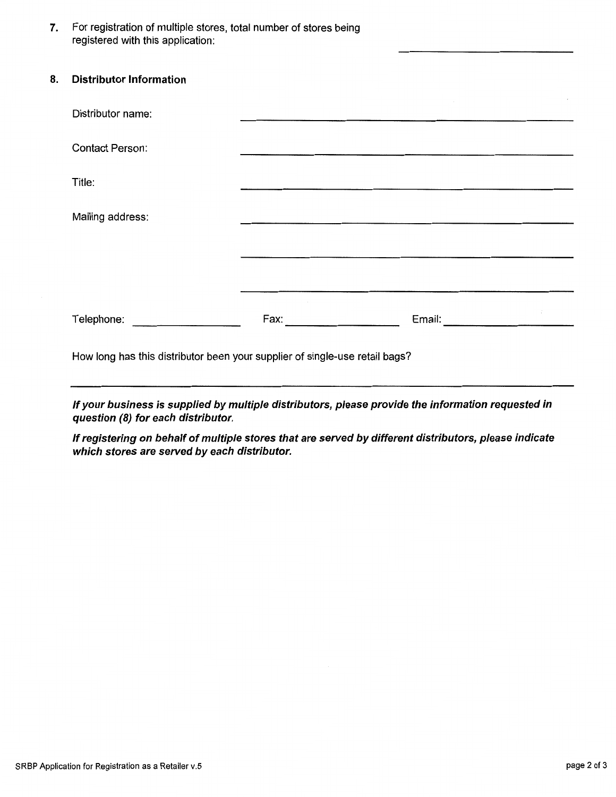For registration of multiple stores, total number of stores being 7. registered with this application:

8.

| <b>Distributor Information</b>                                                                                 |                                                                                                                                                                                                                                |                                                                                                                       |  |
|----------------------------------------------------------------------------------------------------------------|--------------------------------------------------------------------------------------------------------------------------------------------------------------------------------------------------------------------------------|-----------------------------------------------------------------------------------------------------------------------|--|
| Distributor name:                                                                                              |                                                                                                                                                                                                                                | <u> 1980 - Januar Alexandri, manazarta da sebagai dan berasal dan berasal dan berasal dan berasal dan berasal dan</u> |  |
| <b>Contact Person:</b>                                                                                         |                                                                                                                                                                                                                                |                                                                                                                       |  |
| Title:                                                                                                         |                                                                                                                                                                                                                                |                                                                                                                       |  |
| Mailing address:                                                                                               |                                                                                                                                                                                                                                |                                                                                                                       |  |
|                                                                                                                |                                                                                                                                                                                                                                |                                                                                                                       |  |
|                                                                                                                |                                                                                                                                                                                                                                |                                                                                                                       |  |
| Telephone: The contract of the contract of the contract of the contract of the contract of the contract of the | Fax: Explorer Particular Parties of the Second Parties of the Second Parties of the Second Parties of the Second Parties of the Second Parties of the Second Parties of the Second Parties of the Second Parties of the Second |                                                                                                                       |  |
| How long has this distributor been your supplier of single-use retail bags?                                    |                                                                                                                                                                                                                                |                                                                                                                       |  |

If your business is supplied by multiple distributors, please provide the information requested in question (8) for each distributor.

If registering on behalf of multiple stores that are served by different distributors, please indicate which stores are served by each distributor.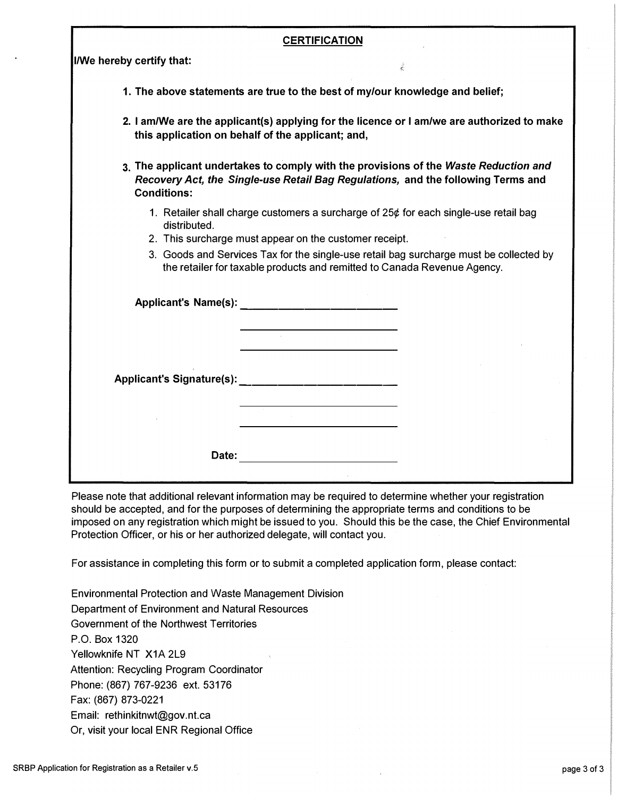| <b>CERTIFICATION</b>                                                                                                                                                                                                                                                                                                                 |                                                                                                                                                 |  |  |  |  |  |
|--------------------------------------------------------------------------------------------------------------------------------------------------------------------------------------------------------------------------------------------------------------------------------------------------------------------------------------|-------------------------------------------------------------------------------------------------------------------------------------------------|--|--|--|--|--|
| I/We hereby certify that:                                                                                                                                                                                                                                                                                                            | È                                                                                                                                               |  |  |  |  |  |
|                                                                                                                                                                                                                                                                                                                                      | 1. The above statements are true to the best of my/our knowledge and belief;                                                                    |  |  |  |  |  |
|                                                                                                                                                                                                                                                                                                                                      | 2. I am/We are the applicant(s) applying for the licence or I am/we are authorized to make<br>this application on behalf of the applicant; and, |  |  |  |  |  |
| 3. The applicant undertakes to comply with the provisions of the Waste Reduction and<br>Recovery Act, the Single-use Retail Bag Regulations, and the following Terms and<br><b>Conditions:</b>                                                                                                                                       |                                                                                                                                                 |  |  |  |  |  |
| 1. Retailer shall charge customers a surcharge of 25¢ for each single-use retail bag<br>distributed.<br>2. This surcharge must appear on the customer receipt.<br>3. Goods and Services Tax for the single-use retail bag surcharge must be collected by<br>the retailer for taxable products and remitted to Canada Revenue Agency. |                                                                                                                                                 |  |  |  |  |  |
|                                                                                                                                                                                                                                                                                                                                      |                                                                                                                                                 |  |  |  |  |  |
|                                                                                                                                                                                                                                                                                                                                      | Applicant's Signature(s): _____________________________                                                                                         |  |  |  |  |  |
| Date:                                                                                                                                                                                                                                                                                                                                |                                                                                                                                                 |  |  |  |  |  |

Please note that additional relevant information may be required to determine whether your registration should be accepted, and for the purposes of determining the appropriate terms and conditions to be imposed on any registration which might be issued to you. Should this be the case, the Chief Environmental Protection Officer, or his or her authorized delegate, will contact you.

For assistance in completing this form or to submit a completed application form, please contact:

Environmental Protection and Waste Management Division Department of Environment and Natural Resources Government of the Northwest Territories P.O. Box 1320 Yellowknife NT X1A 2L9 Attention: Recycling Program Coordinator Phone: (867) 767-9236 ext. 53176 Fax: (867) 873-0221 Email: rethinkitnwt@gov.nt.ca Or, visit your local ENR Regional Office